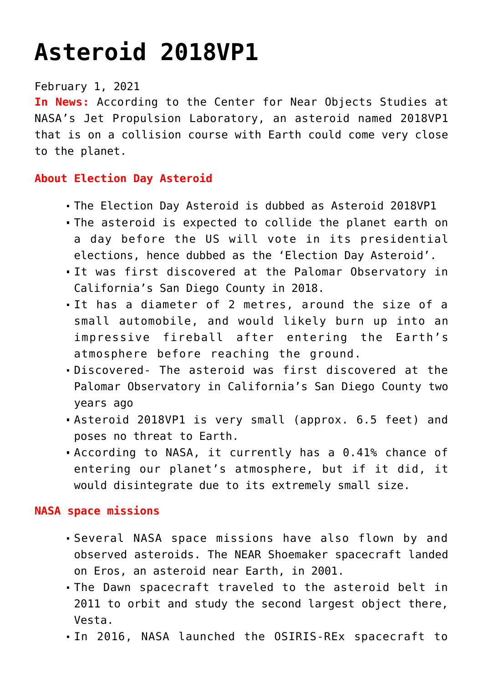# **[Asteroid 2018VP1](https://journalsofindia.com/asteroid-2018vp1/)**

#### February 1, 2021

**In News:** According to the Center for Near Objects Studies at NASA's Jet Propulsion Laboratory, an asteroid named 2018VP1 that is on a collision course with Earth could come very close to the planet.

# **About Election Day Asteroid**

- The Election Day Asteroid is dubbed as Asteroid 2018VP1
- The asteroid is expected to collide the planet earth on a day before the US will vote in its presidential elections, hence dubbed as the 'Election Day Asteroid'.
- It was first discovered at the Palomar Observatory in California's San Diego County in 2018.
- It has a diameter of 2 metres, around the size of a small automobile, and would likely burn up into an impressive fireball after entering the Earth's atmosphere before reaching the ground.
- Discovered- The asteroid was first discovered at the Palomar Observatory in California's San Diego County two years ago
- Asteroid 2018VP1 is very small (approx. 6.5 feet) and poses no threat to Earth.
- According to NASA, it currently has a 0.41% chance of entering our planet's atmosphere, but if it did, it would disintegrate due to its extremely small size.

#### **NASA space missions**

- Several NASA space missions have also flown by and observed asteroids. The NEAR Shoemaker spacecraft landed on Eros, an asteroid near Earth, in 2001.
- The Dawn spacecraft traveled to the asteroid belt in 2011 to orbit and study the second largest object there, Vesta.
- In 2016, NASA launched the OSIRIS-REx spacecraft to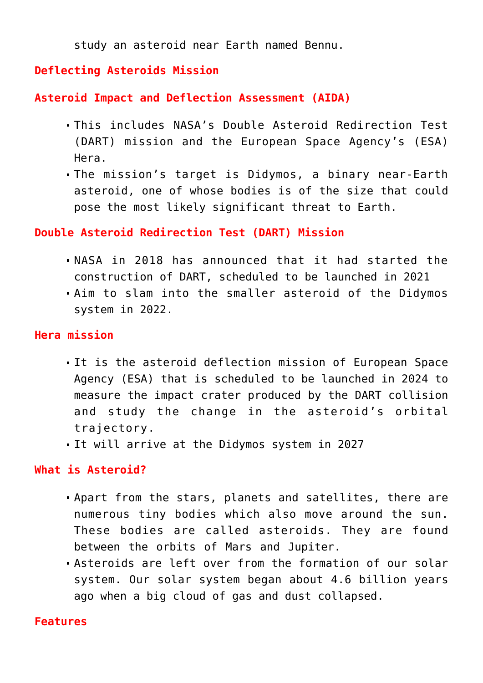study an asteroid near Earth named Bennu.

### **Deflecting Asteroids Mission**

**Asteroid Impact and Deflection Assessment (AIDA)**

- This includes NASA's Double Asteroid Redirection Test (DART) mission and the European Space Agency's (ESA) Hera.
- The mission's target is Didymos, a binary near-Earth asteroid, one of whose bodies is of the size that could pose the most likely significant threat to Earth.

### **Double Asteroid Redirection Test (DART) Mission**

- NASA in 2018 has announced that it had started the construction of DART, scheduled to be launched in 2021
- Aim to slam into the smaller asteroid of the Didymos system in 2022.

### **Hera mission**

- It is the asteroid deflection mission of European Space Agency (ESA) that is scheduled to be launched in 2024 to measure the impact crater produced by the DART collision and study the change in the asteroid's orbital trajectory.
- It will arrive at the Didymos system in 2027

# **What is Asteroid?**

- Apart from the stars, planets and satellites, there are numerous tiny bodies which also move around the sun. These bodies are called asteroids. They are found between the orbits of Mars and Jupiter.
- Asteroids are left over from the formation of our solar system. Our solar system began about 4.6 billion years ago when a big cloud of gas and dust collapsed.

#### **Features**